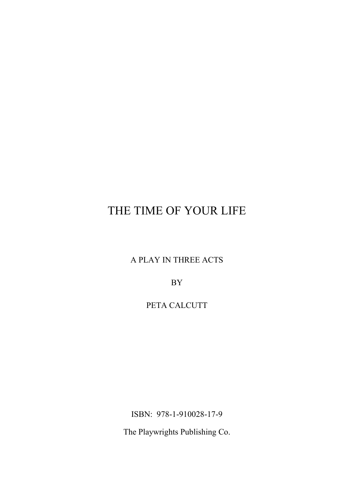A PLAY IN THREE ACTS

BY

PETA CALCUTT

ISBN: 978-1-910028-17-9

The Playwrights Publishing Co.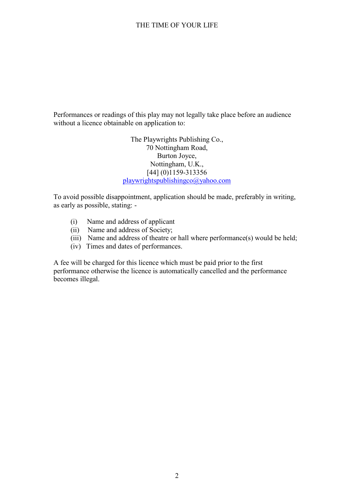Performances or readings of this play may not legally take place before an audience without a licence obtainable on application to:

> The Playwrights Publishing Co., 70 Nottingham Road, Burton Joyce, Nottingham, U.K., [44] (0)1159-313356 playwrightspublishingco@yahoo.com

To avoid possible disappointment, application should be made, preferably in writing, as early as possible, stating: -

- (i) Name and address of applicant
- (ii) Name and address of Society;
- (iii) Name and address of theatre or hall where performance(s) would be held;
- (iv) Times and dates of performances.

A fee will be charged for this licence which must be paid prior to the first performance otherwise the licence is automatically cancelled and the performance becomes illegal.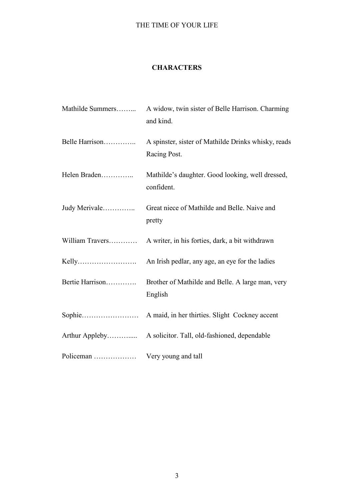### **CHARACTERS**

| Mathilde Summers | A widow, twin sister of Belle Harrison. Charming<br>and kind.       |
|------------------|---------------------------------------------------------------------|
| Belle Harrison   | A spinster, sister of Mathilde Drinks whisky, reads<br>Racing Post. |
| Helen Braden     | Mathilde's daughter. Good looking, well dressed,<br>confident.      |
| Judy Merivale    | Great niece of Mathilde and Belle. Naive and<br>pretty              |
| William Travers  | A writer, in his forties, dark, a bit withdrawn                     |
|                  |                                                                     |
| Bertie Harrison  | Brother of Mathilde and Belle. A large man, very<br>English         |
|                  |                                                                     |
|                  |                                                                     |
| Policeman        | Very young and tall                                                 |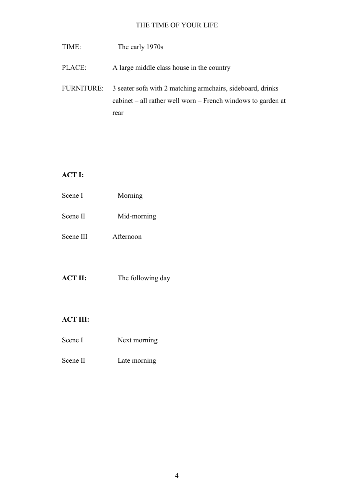- TIME: The early 1970s
- PLACE: A large middle class house in the country
- FURNITURE: 3 seater sofa with 2 matching armchairs, sideboard, drinks cabinet – all rather well worn – French windows to garden at rear

# **ACT I:**

| Scene I   | Morning     |  |
|-----------|-------------|--|
| Scene II  | Mid-morning |  |
| Scene III | Afternoon   |  |

## **ACT II:** The following day

### **ACT III:**

- Scene I Next morning
- Scene II Late morning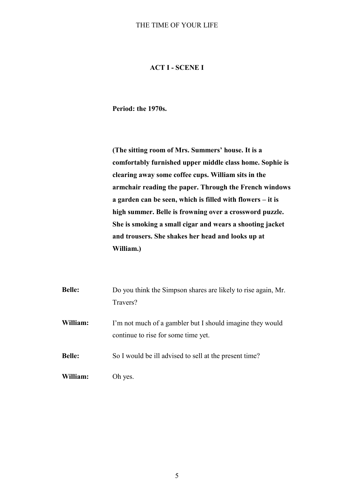### **ACT I - SCENE I**

**Period: the 1970s.**

**(The sitting room of Mrs. Summers' house. It is a comfortably furnished upper middle class home. Sophie is clearing away some coffee cups. William sits in the armchair reading the paper. Through the French windows a garden can be seen, which is filled with flowers – it is high summer. Belle is frowning over a crossword puzzle. She is smoking a small cigar and wears a shooting jacket and trousers. She shakes her head and looks up at William.)**

| <b>Belle:</b> | Do you think the Simpson shares are likely to rise again, Mr.<br>Travers?                        |
|---------------|--------------------------------------------------------------------------------------------------|
| William:      | I'm not much of a gambler but I should imagine they would<br>continue to rise for some time yet. |
| <b>Belle:</b> | So I would be ill advised to sell at the present time?                                           |
| William:      | Oh yes.                                                                                          |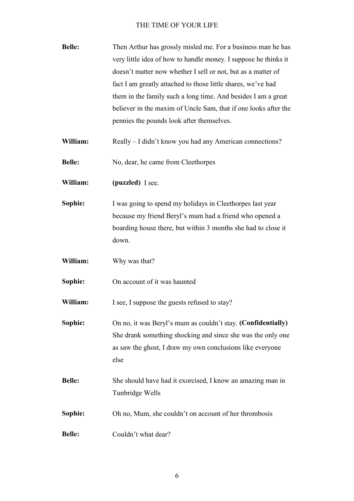| <b>Belle:</b> | Then Arthur has grossly misled me. For a business man he has<br>very little idea of how to handle money. I suppose he thinks it<br>doesn't matter now whether I sell or not, but as a matter of<br>fact I am greatly attached to those little shares, we've had<br>them in the family such a long time. And besides I am a great<br>believer in the maxim of Uncle Sam, that if one looks after the<br>pennies the pounds look after themselves. |
|---------------|--------------------------------------------------------------------------------------------------------------------------------------------------------------------------------------------------------------------------------------------------------------------------------------------------------------------------------------------------------------------------------------------------------------------------------------------------|
| William:      | Really – I didn't know you had any American connections?                                                                                                                                                                                                                                                                                                                                                                                         |
| <b>Belle:</b> | No, dear, he came from Cleethorpes                                                                                                                                                                                                                                                                                                                                                                                                               |
| William:      | (puzzled) I see.                                                                                                                                                                                                                                                                                                                                                                                                                                 |
| Sophie:       | I was going to spend my holidays in Cleethorpes last year<br>because my friend Beryl's mum had a friend who opened a<br>boarding house there, but within 3 months she had to close it<br>down.                                                                                                                                                                                                                                                   |
| William:      | Why was that?                                                                                                                                                                                                                                                                                                                                                                                                                                    |
| Sophie:       | On account of it was haunted                                                                                                                                                                                                                                                                                                                                                                                                                     |
| William:      | I see, I suppose the guests refused to stay?                                                                                                                                                                                                                                                                                                                                                                                                     |
| Sophie:       | On no, it was Beryl's mum as couldn't stay. (Confidentially)<br>She drank something shocking and since she was the only one<br>as saw the ghost, I draw my own conclusions like everyone<br>else                                                                                                                                                                                                                                                 |
| <b>Belle:</b> | She should have had it exorcised, I know an amazing man in<br>Tunbridge Wells                                                                                                                                                                                                                                                                                                                                                                    |
| Sophie:       | Oh no, Mum, she couldn't on account of her thrombosis                                                                                                                                                                                                                                                                                                                                                                                            |
| <b>Belle:</b> | Couldn't what dear?                                                                                                                                                                                                                                                                                                                                                                                                                              |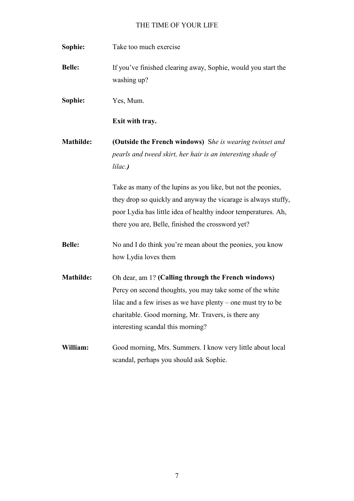| Sophie:       | Take too much exercise                                                                                                 |
|---------------|------------------------------------------------------------------------------------------------------------------------|
| <b>Belle:</b> | If you've finished clearing away, Sophie, would you start the<br>washing up?                                           |
| Sophie:       | Yes, Mum.                                                                                                              |
|               | Exit with tray.                                                                                                        |
| Mathilde:     | (Outside the French windows) She is wearing twinset and<br>pearls and tweed skirt, her hair is an interesting shade of |
|               | lilac.)                                                                                                                |
|               | Take as many of the lupins as you like, but not the peonies,                                                           |
|               | they drop so quickly and anyway the vicarage is always stuffy,                                                         |
|               | poor Lydia has little idea of healthy indoor temperatures. Ah,                                                         |
|               | there you are, Belle, finished the crossword yet?                                                                      |
| <b>Belle:</b> | No and I do think you're mean about the peonies, you know                                                              |
|               | how Lydia loves them                                                                                                   |
| Mathilde:     | Oh dear, am 1? (Calling through the French windows)                                                                    |
|               | Percy on second thoughts, you may take some of the white                                                               |
|               | lilac and a few irises as we have plenty - one must try to be                                                          |
|               | charitable. Good morning, Mr. Travers, is there any                                                                    |
|               | interesting scandal this morning?                                                                                      |
| William:      | Good morning, Mrs. Summers. I know very little about local                                                             |
|               | scandal, perhaps you should ask Sophie.                                                                                |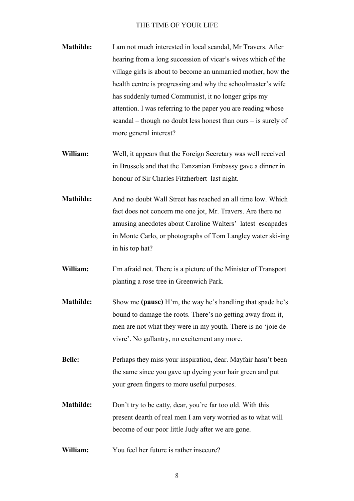- **Mathilde:** I am not much interested in local scandal, Mr Travers. After hearing from a long succession of vicar's wives which of the village girls is about to become an unmarried mother, how the health centre is progressing and why the schoolmaster's wife has suddenly turned Communist, it no longer grips my attention. I was referring to the paper you are reading whose scandal – though no doubt less honest than ours – is surely of more general interest?
- **William:** Well, it appears that the Foreign Secretary was well received in Brussels and that the Tanzanian Embassy gave a dinner in honour of Sir Charles Fitzherbert last night.
- **Mathilde:** And no doubt Wall Street has reached an all time low. Which fact does not concern me one jot, Mr. Travers. Are there no amusing anecdotes about Caroline Walters' latest escapades in Monte Carlo, or photographs of Tom Langley water ski-ing in his top hat?
- **William:** I'm afraid not. There is a picture of the Minister of Transport planting a rose tree in Greenwich Park.
- **Mathilde:** Show me **(pause)** H'm, the way he's handling that spade he's bound to damage the roots. There's no getting away from it, men are not what they were in my youth. There is no 'joie de vivre'. No gallantry, no excitement any more.
- **Belle:** Perhaps they miss your inspiration, dear. Mayfair hasn't been the same since you gave up dyeing your hair green and put your green fingers to more useful purposes.
- **Mathilde:** Don't try to be catty, dear, you're far too old. With this present dearth of real men I am very worried as to what will become of our poor little Judy after we are gone.
- **William:** You feel her future is rather insecure?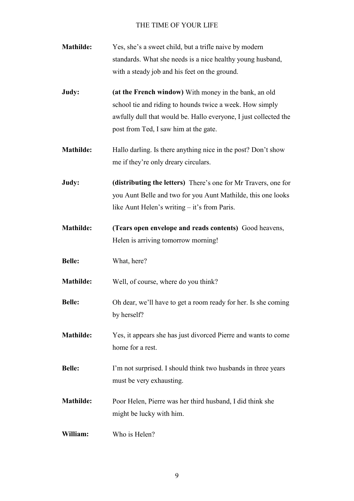| <b>Mathilde:</b> | Yes, she's a sweet child, but a trifle naive by modern<br>standards. What she needs is a nice healthy young husband,                                                           |
|------------------|--------------------------------------------------------------------------------------------------------------------------------------------------------------------------------|
|                  | with a steady job and his feet on the ground.                                                                                                                                  |
| Judy:            | (at the French window) With money in the bank, an old                                                                                                                          |
|                  | school tie and riding to hounds twice a week. How simply                                                                                                                       |
|                  | awfully dull that would be. Hallo everyone, I just collected the<br>post from Ted, I saw him at the gate.                                                                      |
| <b>Mathilde:</b> | Hallo darling. Is there anything nice in the post? Don't show<br>me if they're only dreary circulars.                                                                          |
| Judy:            | (distributing the letters) There's one for Mr Travers, one for<br>you Aunt Belle and two for you Aunt Mathilde, this one looks<br>like Aunt Helen's writing – it's from Paris. |
| <b>Mathilde:</b> | (Tears open envelope and reads contents) Good heavens,<br>Helen is arriving tomorrow morning!                                                                                  |
| <b>Belle:</b>    | What, here?                                                                                                                                                                    |
| <b>Mathilde:</b> | Well, of course, where do you think?                                                                                                                                           |
| <b>Belle:</b>    | Oh dear, we'll have to get a room ready for her. Is she coming<br>by herself?                                                                                                  |
| <b>Mathilde:</b> | Yes, it appears she has just divorced Pierre and wants to come<br>home for a rest.                                                                                             |
| <b>Belle:</b>    | I'm not surprised. I should think two husbands in three years<br>must be very exhausting.                                                                                      |
| <b>Mathilde:</b> | Poor Helen, Pierre was her third husband, I did think she<br>might be lucky with him.                                                                                          |
| William:         | Who is Helen?                                                                                                                                                                  |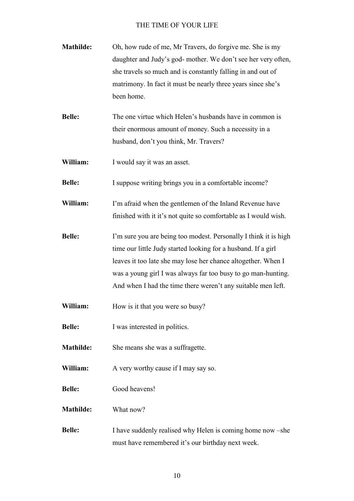| <b>Mathilde:</b> | Oh, how rude of me, Mr Travers, do forgive me. She is my      |
|------------------|---------------------------------------------------------------|
|                  | daughter and Judy's god- mother. We don't see her very often, |
|                  | she travels so much and is constantly falling in and out of   |
|                  | matrimony. In fact it must be nearly three years since she's  |
|                  | been home.                                                    |

**Belle:** The one virtue which Helen's husbands have in common is their enormous amount of money. Such a necessity in a husband, don't you think, Mr. Travers?

**William:** I would say it was an asset.

**Belle:** I suppose writing brings you in a comfortable income?

**William:** I'm afraid when the gentlemen of the Inland Revenue have finished with it it's not quite so comfortable as I would wish.

**Belle:** I'm sure you are being too modest. Personally I think it is high time our little Judy started looking for a husband. If a girl leaves it too late she may lose her chance altogether. When I was a young girl I was always far too busy to go man-hunting. And when I had the time there weren't any suitable men left.

**William:** How is it that you were so busy?

**Belle:** I was interested in politics.

**Mathilde:** She means she was a suffragette.

**William:** A very worthy cause if I may say so.

**Belle:** Good heavens!

**Mathilde:** What now?

**Belle:** I have suddenly realised why Helen is coming home now –she must have remembered it's our birthday next week.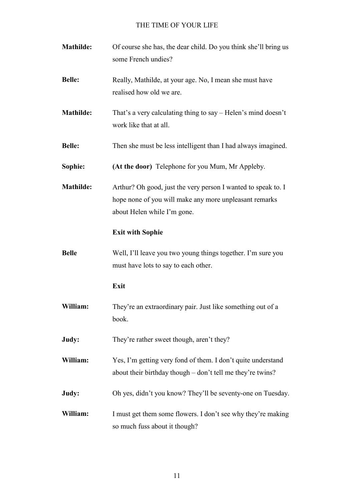| <b>Mathilde:</b> | Of course she has, the dear child. Do you think she'll bring us<br>some French undies?                                                                 |
|------------------|--------------------------------------------------------------------------------------------------------------------------------------------------------|
| <b>Belle:</b>    | Really, Mathilde, at your age. No, I mean she must have<br>realised how old we are.                                                                    |
| <b>Mathilde:</b> | That's a very calculating thing to say – Helen's mind doesn't<br>work like that at all.                                                                |
| <b>Belle:</b>    | Then she must be less intelligent than I had always imagined.                                                                                          |
| Sophie:          | (At the door) Telephone for you Mum, Mr Appleby.                                                                                                       |
| <b>Mathilde:</b> | Arthur? Oh good, just the very person I wanted to speak to. I<br>hope none of you will make any more unpleasant remarks<br>about Helen while I'm gone. |
|                  | <b>Exit with Sophie</b>                                                                                                                                |
| <b>Belle</b>     | Well, I'll leave you two young things together. I'm sure you<br>must have lots to say to each other.                                                   |
|                  | Exit                                                                                                                                                   |
| William:         | They're an extraordinary pair. Just like something out of a<br>book.                                                                                   |
| Judy:            | They're rather sweet though, aren't they?                                                                                                              |
| William:         | Yes, I'm getting very fond of them. I don't quite understand<br>about their birthday though – don't tell me they're twins?                             |
| Judy:            | Oh yes, didn't you know? They'll be seventy-one on Tuesday.                                                                                            |
| William:         | I must get them some flowers. I don't see why they're making<br>so much fuss about it though?                                                          |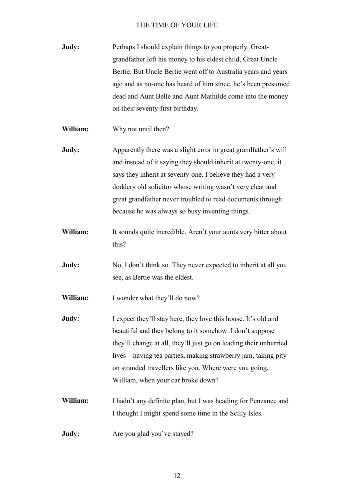| Judy: | Perhaps I should explain things to you properly. Great-        |
|-------|----------------------------------------------------------------|
|       | grandfather left his money to his eldest child, Great Uncle    |
|       | Bertie. But Uncle Bertie went off to Australia years and years |
|       | ago and as no-one has heard of him since, he's been presumed   |
|       | dead and Aunt Belle and Aunt Mathilde come into the money      |
|       | on their seventy-first birthday.                               |

**William:** Why not until then?

**Judy:** Apparently there was a slight error in great grandfather's will and instead of it saying they should inherit at twenty-one, it says they inherit at seventy-one. I believe they had a very doddery old solicitor whose writing wasn't very clear and great grandfather never troubled to read documents through because he was always so busy inventing things.

- William: It sounds quite incredible. Aren't your aunts very bitter about this?
- **Judy:** No, I don't think so. They never expected to inherit at all you see, as Bertie was the eldest.

**William:** I wonder what they'll do now?

- **Judy:** I expect they'll stay here, they love this house. It's old and beautiful and they belong to it somehow. I don't suppose they'll change at all, they'll just go on leading their unhurried lives – having tea parties, making strawberry jam, taking pity on stranded travellers like you. Where were you going, William, when your car broke down?
- **William:** I hadn't any definite plan, but I was heading for Penzance and I thought I might spend some time in the Scilly Isles.
- **Judy:** Are you glad you've stayed?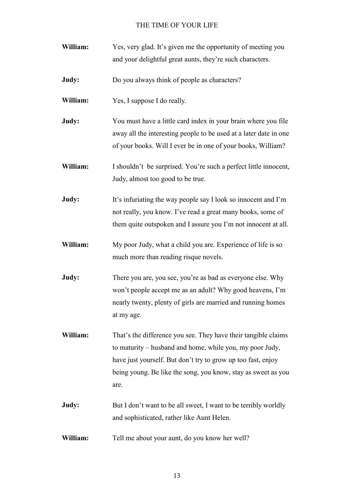- **William:** Yes, very glad. It's given me the opportunity of meeting you and your delightful great aunts, they're such characters.
- **Judy:** Do you always think of people as characters?
- **William:** Yes, I suppose I do really.
- **Judy:** You must have a little card index in your brain where you file away all the interesting people to be used at a later date in one of your books. Will I ever be in one of your books, William?
- **William:** I shouldn't be surprised. You're such a perfect little innocent, Judy, almost too good to be true.
- **Judy:** It's infuriating the way people say I look so innocent and I'm not really, you know. I've read a great many books, some of them quite outspoken and I assure you I'm not innocent at all.
- **William:** My poor Judy, what a child you are. Experience of life is so much more than reading risque novels.
- **Judy:** There you are, you see, you're as bad as everyone else. Why won't people accept me as an adult? Why good heavens, I'm nearly twenty, plenty of girls are married and running homes at my age.
- **William:** That's the difference you see. They have their tangible claims to maturity – husband and home, while you, my poor Judy, have just yourself. But don't try to grow up too fast, enjoy being young. Be like the song, you know, stay as sweet as you are.
- **Judy:** But I don't want to be all sweet, I want to be terribly worldly and sophisticated, rather like Aunt Helen.
- **William:** Tell me about your aunt, do you know her well?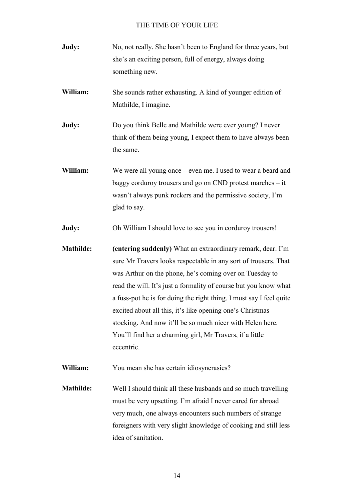- **Judy:** No, not really. She hasn't been to England for three years, but she's an exciting person, full of energy, always doing something new.
- **William:** She sounds rather exhausting. A kind of younger edition of Mathilde, I imagine.
- **Judy:** Do you think Belle and Mathilde were ever young? I never think of them being young, I expect them to have always been the same.
- William: We were all young once even me. I used to wear a beard and baggy corduroy trousers and go on CND protest marches – it wasn't always punk rockers and the permissive society, I'm glad to say.
- **Judy:** Oh William I should love to see you in corduroy trousers!
- **Mathilde: (entering suddenly)** What an extraordinary remark, dear. I'm sure Mr Travers looks respectable in any sort of trousers. That was Arthur on the phone, he's coming over on Tuesday to read the will. It's just a formality of course but you know what a fuss-pot he is for doing the right thing. I must say I feel quite excited about all this, it's like opening one's Christmas stocking. And now it'll be so much nicer with Helen here. You'll find her a charming girl, Mr Travers, if a little eccentric.
- **William:** You mean she has certain idiosyncrasies?
- **Mathilde:** Well I should think all these husbands and so much travelling must be very upsetting. I'm afraid I never cared for abroad very much, one always encounters such numbers of strange foreigners with very slight knowledge of cooking and still less idea of sanitation.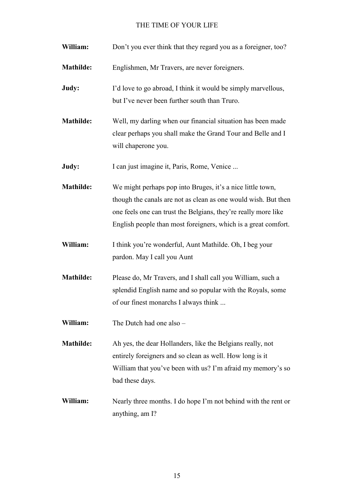| William:         | Don't you ever think that they regard you as a foreigner, too?                                                                                                                                                                                                   |
|------------------|------------------------------------------------------------------------------------------------------------------------------------------------------------------------------------------------------------------------------------------------------------------|
| Mathilde:        | Englishmen, Mr Travers, are never foreigners.                                                                                                                                                                                                                    |
| Judy:            | I'd love to go abroad, I think it would be simply marvellous,<br>but I've never been further south than Truro.                                                                                                                                                   |
| Mathilde:        | Well, my darling when our financial situation has been made<br>clear perhaps you shall make the Grand Tour and Belle and I<br>will chaperone you.                                                                                                                |
| Judy:            | I can just imagine it, Paris, Rome, Venice                                                                                                                                                                                                                       |
| <b>Mathilde:</b> | We might perhaps pop into Bruges, it's a nice little town,<br>though the canals are not as clean as one would wish. But then<br>one feels one can trust the Belgians, they're really more like<br>English people than most foreigners, which is a great comfort. |
| William:         | I think you're wonderful, Aunt Mathilde. Oh, I beg your<br>pardon. May I call you Aunt                                                                                                                                                                           |
| <b>Mathilde:</b> | Please do, Mr Travers, and I shall call you William, such a<br>splendid English name and so popular with the Royals, some<br>of our finest monarchs I always think                                                                                               |
| William:         | The Dutch had one also -                                                                                                                                                                                                                                         |
| <b>Mathilde:</b> | Ah yes, the dear Hollanders, like the Belgians really, not<br>entirely foreigners and so clean as well. How long is it<br>William that you've been with us? I'm afraid my memory's so<br>bad these days.                                                         |
| William:         | Nearly three months. I do hope I'm not behind with the rent or<br>anything, am I?                                                                                                                                                                                |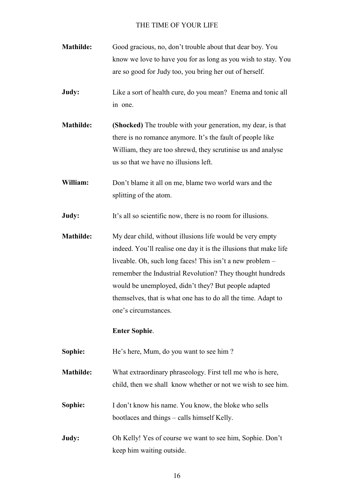- **Mathilde:** Good gracious, no, don't trouble about that dear boy. You know we love to have you for as long as you wish to stay. You are so good for Judy too, you bring her out of herself.
- **Judy:** Like a sort of health cure, do you mean? Enema and tonic all in one.
- **Mathilde: (Shocked)** The trouble with your generation, my dear, is that there is no romance anymore. It's the fault of people like William, they are too shrewd, they scrutinise us and analyse us so that we have no illusions left.
- **William:** Don't blame it all on me, blame two world wars and the splitting of the atom.

**Judy:** It's all so scientific now, there is no room for illusions.

**Mathilde:** My dear child, without illusions life would be very empty indeed. You'll realise one day it is the illusions that make life liveable. Oh, such long faces! This isn't a new problem – remember the Industrial Revolution? They thought hundreds would be unemployed, didn't they? But people adapted themselves, that is what one has to do all the time. Adapt to one's circumstances.

#### **Enter Sophie**.

**Sophie:** He's here, Mum, do you want to see him ?

**Mathilde:** What extraordinary phraseology. First tell me who is here, child, then we shall know whether or not we wish to see him.

- **Sophie:** I don't know his name. You know, the bloke who sells bootlaces and things – calls himself Kelly.
- **Judy:** Oh Kelly! Yes of course we want to see him, Sophie. Don't keep him waiting outside.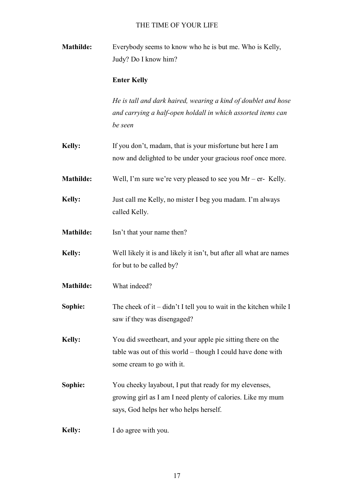**Mathilde:** Everybody seems to know who he is but me. Who is Kelly, Judy? Do I know him?

### **Enter Kelly**

*He is tall and dark haired, wearing a kind of doublet and hose and carrying a half-open holdall in which assorted items can be seen*

- **Kelly:** If you don't, madam, that is your misfortune but here I am now and delighted to be under your gracious roof once more.
- **Mathilde:** Well, I'm sure we're very pleased to see you Mr er- Kelly.
- **Kelly:** Just call me Kelly, no mister I beg you madam. I'm always called Kelly.
- **Mathilde:** Isn't that your name then?
- **Kelly:** Well likely it is and likely it isn't, but after all what are names for but to be called by?
- **Mathilde:** What indeed?

**Sophie:** The cheek of it – didn't I tell you to wait in the kitchen while I saw if they was disengaged?

**Kelly:** You did sweetheart, and your apple pie sitting there on the table was out of this world – though I could have done with some cream to go with it.

- **Sophie:** You cheeky layabout, I put that ready for my elevenses, growing girl as I am I need plenty of calories. Like my mum says, God helps her who helps herself.
- **Kelly:** I do agree with you.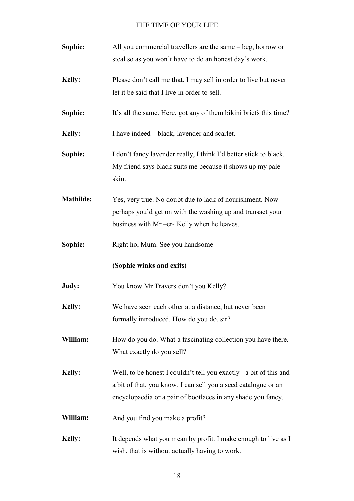| Sophie:       | All you commercial travellers are the same – beg, borrow or                                                                                                                                          |
|---------------|------------------------------------------------------------------------------------------------------------------------------------------------------------------------------------------------------|
|               | steal so as you won't have to do an honest day's work.                                                                                                                                               |
| <b>Kelly:</b> | Please don't call me that. I may sell in order to live but never                                                                                                                                     |
|               | let it be said that I live in order to sell.                                                                                                                                                         |
| Sophie:       | It's all the same. Here, got any of them bikini briefs this time?                                                                                                                                    |
| <b>Kelly:</b> | I have indeed – black, lavender and scarlet.                                                                                                                                                         |
| Sophie:       | I don't fancy lavender really, I think I'd better stick to black.<br>My friend says black suits me because it shows up my pale<br>skin.                                                              |
| Mathilde:     | Yes, very true. No doubt due to lack of nourishment. Now<br>perhaps you'd get on with the washing up and transact your<br>business with Mr -er- Kelly when he leaves.                                |
| Sophie:       | Right ho, Mum. See you handsome                                                                                                                                                                      |
|               | (Sophie winks and exits)                                                                                                                                                                             |
| Judy:         | You know Mr Travers don't you Kelly?                                                                                                                                                                 |
| <b>Kelly:</b> | We have seen each other at a distance, but never been<br>formally introduced. How do you do, sir?                                                                                                    |
| William:      | How do you do. What a fascinating collection you have there.<br>What exactly do you sell?                                                                                                            |
| <b>Kelly:</b> | Well, to be honest I couldn't tell you exactly - a bit of this and<br>a bit of that, you know. I can sell you a seed catalogue or an<br>encyclopaedia or a pair of bootlaces in any shade you fancy. |
| William:      | And you find you make a profit?                                                                                                                                                                      |
| <b>Kelly:</b> | It depends what you mean by profit. I make enough to live as I<br>wish, that is without actually having to work.                                                                                     |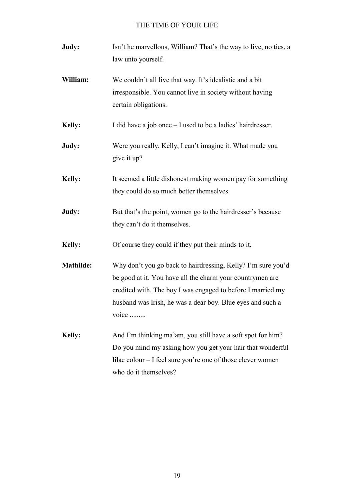| Judy:            | Isn't he marvellous, William? That's the way to live, no ties, a<br>law unto yourself.                                                                                                                                                                          |
|------------------|-----------------------------------------------------------------------------------------------------------------------------------------------------------------------------------------------------------------------------------------------------------------|
| William:         | We couldn't all live that way. It's idealistic and a bit<br>irresponsible. You cannot live in society without having<br>certain obligations.                                                                                                                    |
| <b>Kelly:</b>    | I did have a job once – I used to be a ladies' hairdresser.                                                                                                                                                                                                     |
| Judy:            | Were you really, Kelly, I can't imagine it. What made you<br>give it up?                                                                                                                                                                                        |
| <b>Kelly:</b>    | It seemed a little dishonest making women pay for something<br>they could do so much better themselves.                                                                                                                                                         |
| Judy:            | But that's the point, women go to the hairdresser's because<br>they can't do it themselves.                                                                                                                                                                     |
| <b>Kelly:</b>    | Of course they could if they put their minds to it.                                                                                                                                                                                                             |
| <b>Mathilde:</b> | Why don't you go back to hairdressing, Kelly? I'm sure you'd<br>be good at it. You have all the charm your countrymen are<br>credited with. The boy I was engaged to before I married my<br>husband was Irish, he was a dear boy. Blue eyes and such a<br>voice |
| <b>Kelly:</b>    | And I'm thinking ma'am, you still have a soft spot for him?<br>Do you mind my asking how you get your hair that wonderful<br>lilac colour – I feel sure you're one of those clever women<br>who do it themselves?                                               |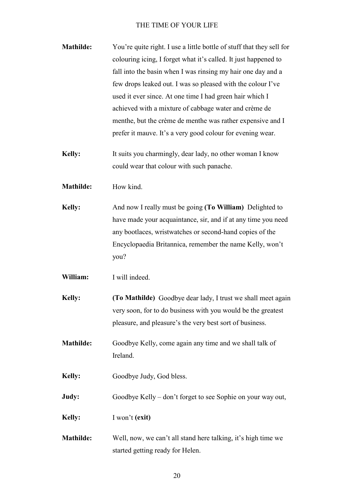- **Mathilde:** You're quite right. I use a little bottle of stuff that they sell for colouring icing, I forget what it's called. It just happened to fall into the basin when I was rinsing my hair one day and a few drops leaked out. I was so pleased with the colour I've used it ever since. At one time I had green hair which I achieved with a mixture of cabbage water and crème de menthe, but the crème de menthe was rather expensive and I prefer it mauve. It's a very good colour for evening wear.
- **Kelly:** It suits you charmingly, dear lady, no other woman I know could wear that colour with such panache.
- **Mathilde:** How kind.
- **Kelly:** And now I really must be going **(To William)** Delighted to have made your acquaintance, sir, and if at any time you need any bootlaces, wristwatches or second-hand copies of the Encyclopaedia Britannica, remember the name Kelly, won't you?
- **William:** I will indeed.
- **Kelly: (To Mathilde)** Goodbye dear lady, I trust we shall meet again very soon, for to do business with you would be the greatest pleasure, and pleasure's the very best sort of business.
- **Mathilde:** Goodbye Kelly, come again any time and we shall talk of Ireland.
- Kelly: Goodbye Judy, God bless.
- **Judy:** Goodbye Kelly don't forget to see Sophie on your way out,
- **Kelly:** I won't **(exit)**
- **Mathilde:** Well, now, we can't all stand here talking, it's high time we started getting ready for Helen.